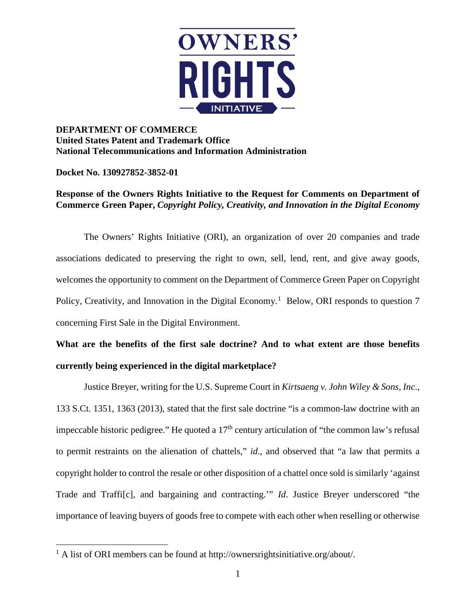

## **DEPARTMENT OF COMMERCE United States Patent and Trademark Office National Telecommunications and Information Administration**

**Docket No. 130927852-3852-01**

 $\overline{a}$ 

## **Response of the Owners Rights Initiative to the Request for Comments on Department of Commerce Green Paper,** *Copyright Policy, Creativity, and Innovation in the Digital Economy*

The Owners' Rights Initiative (ORI), an organization of over 20 companies and trade associations dedicated to preserving the right to own, sell, lend, rent, and give away goods, welcomes the opportunity to comment on the Department of Commerce Green Paper on Copyright Policy, Creativity, and Innovation in the Digital Economy.<sup>[1](#page-0-0)</sup> Below, ORI responds to question 7 concerning First Sale in the Digital Environment.

## **What are the benefits of the first sale doctrine? And to what extent are those benefits currently being experienced in the digital marketplace?**

Justice Breyer, writing for the U.S. Supreme Court in *Kirtsaeng v. John Wiley & Sons, Inc*., 133 S.Ct. 1351, 1363 (2013), stated that the first sale doctrine "is a common-law doctrine with an impeccable historic pedigree." He quoted a  $17<sup>th</sup>$  century articulation of "the common law's refusal to permit restraints on the alienation of chattels," *id*., and observed that "a law that permits a copyright holder to control the resale or other disposition of a chattel once sold is similarly 'against Trade and Traffi[c], and bargaining and contracting.'" *Id*. Justice Breyer underscored "the importance of leaving buyers of goods free to compete with each other when reselling or otherwise

<span id="page-0-0"></span><sup>&</sup>lt;sup>1</sup> A list of ORI members can be found at http://ownersrightsinitiative.org/about/.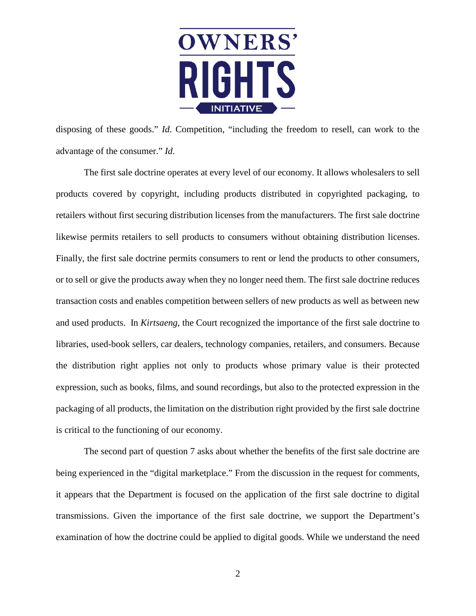

disposing of these goods." *Id*. Competition, "including the freedom to resell, can work to the advantage of the consumer." *Id*.

The first sale doctrine operates at every level of our economy. It allows wholesalers to sell products covered by copyright, including products distributed in copyrighted packaging, to retailers without first securing distribution licenses from the manufacturers. The first sale doctrine likewise permits retailers to sell products to consumers without obtaining distribution licenses. Finally, the first sale doctrine permits consumers to rent or lend the products to other consumers, or to sell or give the products away when they no longer need them. The first sale doctrine reduces transaction costs and enables competition between sellers of new products as well as between new and used products. In *Kirtsaeng*, the Court recognized the importance of the first sale doctrine to libraries, used-book sellers, car dealers, technology companies, retailers, and consumers. Because the distribution right applies not only to products whose primary value is their protected expression, such as books, films, and sound recordings, but also to the protected expression in the packaging of all products, the limitation on the distribution right provided by the first sale doctrine is critical to the functioning of our economy.

The second part of question 7 asks about whether the benefits of the first sale doctrine are being experienced in the "digital marketplace." From the discussion in the request for comments, it appears that the Department is focused on the application of the first sale doctrine to digital transmissions. Given the importance of the first sale doctrine, we support the Department's examination of how the doctrine could be applied to digital goods. While we understand the need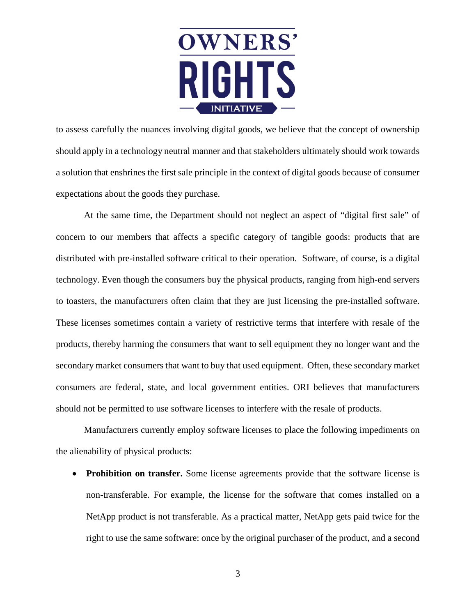

to assess carefully the nuances involving digital goods, we believe that the concept of ownership should apply in a technology neutral manner and that stakeholders ultimately should work towards a solution that enshrines the first sale principle in the context of digital goods because of consumer expectations about the goods they purchase.

At the same time, the Department should not neglect an aspect of "digital first sale" of concern to our members that affects a specific category of tangible goods: products that are distributed with pre-installed software critical to their operation. Software, of course, is a digital technology. Even though the consumers buy the physical products, ranging from high-end servers to toasters, the manufacturers often claim that they are just licensing the pre-installed software. These licenses sometimes contain a variety of restrictive terms that interfere with resale of the products, thereby harming the consumers that want to sell equipment they no longer want and the secondary market consumers that want to buy that used equipment. Often, these secondary market consumers are federal, state, and local government entities. ORI believes that manufacturers should not be permitted to use software licenses to interfere with the resale of products.

Manufacturers currently employ software licenses to place the following impediments on the alienability of physical products:

• **Prohibition on transfer.** Some license agreements provide that the software license is non-transferable. For example, the license for the software that comes installed on a NetApp product is not transferable. As a practical matter, NetApp gets paid twice for the right to use the same software: once by the original purchaser of the product, and a second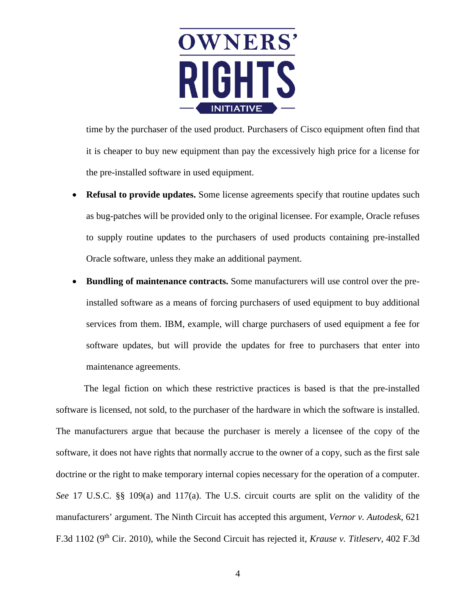

time by the purchaser of the used product. Purchasers of Cisco equipment often find that it is cheaper to buy new equipment than pay the excessively high price for a license for the pre-installed software in used equipment.

- **Refusal to provide updates.** Some license agreements specify that routine updates such as bug-patches will be provided only to the original licensee. For example, Oracle refuses to supply routine updates to the purchasers of used products containing pre-installed Oracle software, unless they make an additional payment.
- **Bundling of maintenance contracts.** Some manufacturers will use control over the preinstalled software as a means of forcing purchasers of used equipment to buy additional services from them. IBM, example, will charge purchasers of used equipment a fee for software updates, but will provide the updates for free to purchasers that enter into maintenance agreements.

The legal fiction on which these restrictive practices is based is that the pre-installed software is licensed, not sold, to the purchaser of the hardware in which the software is installed. The manufacturers argue that because the purchaser is merely a licensee of the copy of the software, it does not have rights that normally accrue to the owner of a copy, such as the first sale doctrine or the right to make temporary internal copies necessary for the operation of a computer. *See* 17 U.S.C. §§ 109(a) and 117(a). The U.S. circuit courts are split on the validity of the manufacturers' argument. The Ninth Circuit has accepted this argument, *Vernor v. Autodesk*, 621 F.3d 1102 (9th Cir. 2010), while the Second Circuit has rejected it, *Krause v. Titleserv*, 402 F.3d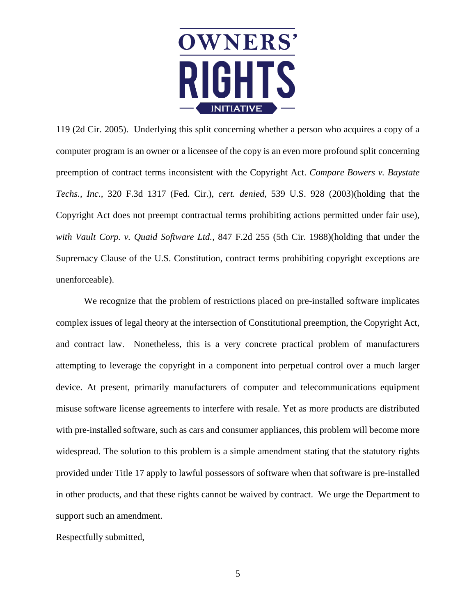

119 (2d Cir. 2005). Underlying this split concerning whether a person who acquires a copy of a computer program is an owner or a licensee of the copy is an even more profound split concerning preemption of contract terms inconsistent with the Copyright Act. *Compare Bowers v. Baystate Techs., Inc.,* 320 F.3d 1317 (Fed. Cir.), *cert. denied*, 539 U.S. 928 (2003)(holding that the Copyright Act does not preempt contractual terms prohibiting actions permitted under fair use), *with Vault Corp. v. Quaid Software Ltd.,* 847 F.2d 255 (5th Cir. 1988)(holding that under the Supremacy Clause of the U.S. Constitution, contract terms prohibiting copyright exceptions are unenforceable).

We recognize that the problem of restrictions placed on pre-installed software implicates complex issues of legal theory at the intersection of Constitutional preemption, the Copyright Act, and contract law. Nonetheless, this is a very concrete practical problem of manufacturers attempting to leverage the copyright in a component into perpetual control over a much larger device. At present, primarily manufacturers of computer and telecommunications equipment misuse software license agreements to interfere with resale. Yet as more products are distributed with pre-installed software, such as cars and consumer appliances, this problem will become more widespread. The solution to this problem is a simple amendment stating that the statutory rights provided under Title 17 apply to lawful possessors of software when that software is pre-installed in other products, and that these rights cannot be waived by contract. We urge the Department to support such an amendment.

Respectfully submitted,